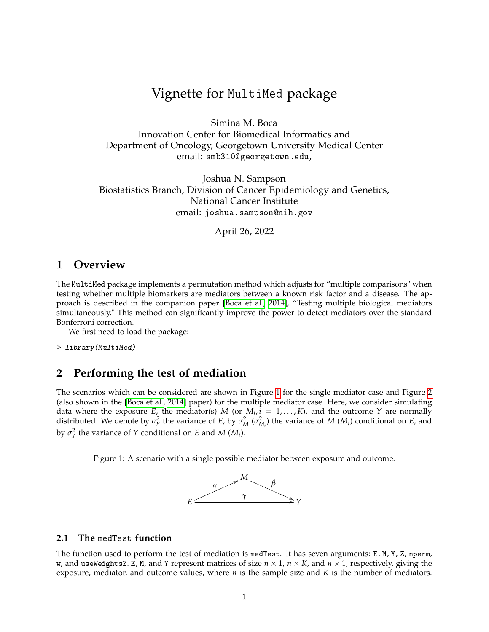# Vignette for MultiMed package

Simina M. Boca Innovation Center for Biomedical Informatics and Department of Oncology, Georgetown University Medical Center email: smb310@georgetown.edu,

Joshua N. Sampson Biostatistics Branch, Division of Cancer Epidemiology and Genetics, National Cancer Institute email: joshua.sampson@nih.gov

April 26, 2022

## **1 Overview**

The MultiMed package implements a permutation method which adjusts for "multiple comparisons" when testing whether multiple biomarkers are mediators between a known risk factor and a disease. The approach is described in the companion paper [\[Boca et al., 2014\]](#page-4-0), "Testing multiple biological mediators simultaneously." This method can significantly improve the power to detect mediators over the standard Bonferroni correction.

We first need to load the package:

> library(MultiMed)

# **2 Performing the test of mediation**

The scenarios which can be considered are shown in Figure [1](#page-0-0) for the single mediator case and Figure [2](#page-2-0) (also shown in the [\[Boca et al., 2014\]](#page-4-0) paper) for the multiple mediator case. Here, we consider simulating data where the exposure  $E$ , the mediator(s)  $M$  (or  $M_i$ ,  $i = 1,..., K$ ), and the outcome  $Y$  are normally distributed. We denote by  $\sigma_E^2$  the variance of *E*, by  $\sigma_M^2$  ( $\sigma_{M_i}^2$ ) the variance of *M* (*M<sub>i</sub>*) conditional on *E*, and by  $\sigma_Y^2$  the variance of *Y* conditional on *E* and *M* (*M*<sub>*i*</sub>).

<span id="page-0-0"></span>Figure 1: A scenario with a single possible mediator between exposure and outcome.



### **2.1 The** medTest **function**

The function used to perform the test of mediation is medTest. It has seven arguments: E, M, Y, Z, nperm, w, and useWeightsZ. E, M, and Y represent matrices of size *n* × 1, *n* × *K*, and *n* × 1, respectively, giving the exposure, mediator, and outcome values, where *n* is the sample size and *K* is the number of mediators.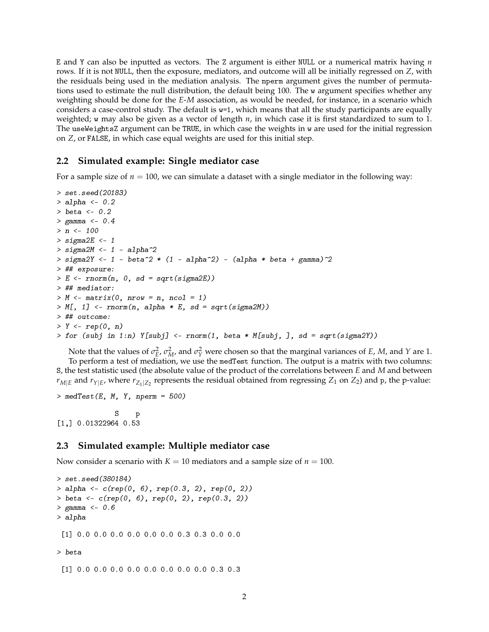E and Y can also be inputted as vectors. The Z argument is either NULL or a numerical matrix having *n* rows. If it is not NULL, then the exposure, mediators, and outcome will all be initially regressed on *Z*, with the residuals being used in the mediation analysis. The nperm argument gives the number of permutations used to estimate the null distribution, the default being 100. The w argument specifies whether any weighting should be done for the *E*-*M* association, as would be needed, for instance, in a scenario which considers a case-control study. The default is w=1, which means that all the study participants are equally weighted; w may also be given as a vector of length *n*, in which case it is first standardized to sum to 1. The useWeightsZ argument can be TRUE, in which case the weights in w are used for the initial regression on *Z*, or FALSE, in which case equal weights are used for this initial step.

#### **2.2 Simulated example: Single mediator case**

For a sample size of  $n = 100$ , we can simulate a dataset with a single mediator in the following way:

```
> set.seed(20183)
> alpha <- 0.2
> beta <-0.2> gamma <- 0.4
> n <- 100
> sigma2E <-1> sigma2M <-1 - alpha\hat{}2
> sigma2Y <- 1 - beta^2 * (1 - alpha^2) - (alpha * beta + gamma)^2
> ## exposure:
> E \le- rnorm(n, 0, sd = sqrt(sigma2E))> ## mediator:
> M \le- matrix(0, nrow = n, ncol = 1)
> M[, 1] <- rnorm(n, alpha * E, sd = sqrt(sigma2M))
> ## outcome:
> Y <- rep(0, n)
> for (subj in 1:n) Y[subj] \le- rnorm(1, beta * M[subj, ], sd = sqrt(sigma2Y))
```
Note that the values of  $\sigma_E^2$ ,  $\sigma_M^2$ , and  $\sigma_Y^2$  were chosen so that the marginal variances of *E*, *M*, and *Y* are 1. To perform a test of mediation, we use the medTest function. The output is a matrix with two columns: S, the test statistic used (the absolute value of the product of the correlations between *E* and *M* and between  $r_{M|E}$  and  $r_{Y|E}$ , where  $r_{Z_1|Z_2}$  represents the residual obtained from regressing  $Z_1$  on  $Z_2$ ) and p, the p-value:

```
> medTest(E, M, Y, nperm = 500)
             S p
[1,] 0.01322964 0.53
```
### **2.3 Simulated example: Multiple mediator case**

Now consider a scenario with  $K = 10$  mediators and a sample size of  $n = 100$ .

```
> set.seed(380184)
> alpha <- c(rep(0, 6), rep(0.3, 2), rep(0, 2))
> beta <- c(rep(0, 6), rep(0, 2), rep(0.3, 2))
> gamma <-0.6> alpha
 [1] 0.0 0.0 0.0 0.0 0.0 0.0 0.3 0.3 0.0 0.0
> beta
 [1] 0.0 0.0 0.0 0.0 0.0 0.0 0.0 0.0 0.3 0.3
```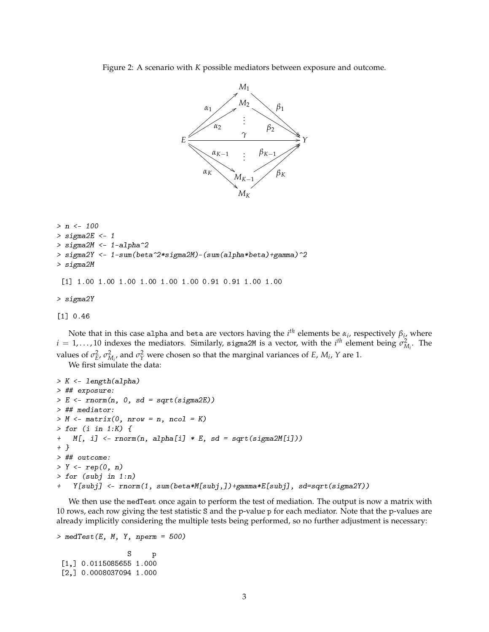<span id="page-2-0"></span>Figure 2: A scenario with *K* possible mediators between exposure and outcome.



```
> n <- 100
> sigma2E <-1> sigma2M <- 1-alpha^2
> sigma2Y <- 1-sum(beta^2*sigma2M)-(sum(alpha*beta)+gamma)^2
> sigma2M
 [1] 1.00 1.00 1.00 1.00 1.00 1.00 0.91 0.91 1.00 1.00
> sigma2Y
```
[1] 0.46

Note that in this case a1pha and beta are vectors having the  $i^{th}$  elements be  $\alpha_i$ , respectively  $\beta_{i_1}$  where  $i = 1, \ldots, 10$  indexes the mediators. Similarly, sigma2M is a vector, with the  $i^{th}$  element being  $\sigma_{M_i}^2$ . The values of  $\sigma_E^2$ ,  $\sigma_{M_i}^2$  and  $\sigma_Y^2$  were chosen so that the marginal variances of *E*, *M<sub>i</sub>*, *Y* are 1.

We first simulate the data:

```
> K <- length(alpha)
> ## exposure:
> E \le- rnorm(n, 0, sd = sqrt(signa2E))> ## mediator:
> M \leq matrix(0, nrow = n, ncol = K)
> for (i in 1:K) {
+ M[, i] <- rnorm(n, alpha[i] * E, sd = sqrt(sigma2M[i]))
+ }
> ## outcome:
> Y <- rep(0, n)
> for (subj in 1:n)
+ Y[subj] <- rnorm(1, sum(beta*M[subj,])+gamma*E[subj], sd=sqrt(sigma2Y))
```
We then use the medTest once again to perform the test of mediation. The output is now a matrix with 10 rows, each row giving the test statistic S and the p-value p for each mediator. Note that the p-values are already implicitly considering the multiple tests being performed, so no further adjustment is necessary:

```
> medTest(E, M, Y, nperm = 500)S p
 [1,] 0.0115085655 1.000
 [2,] 0.0008037094 1.000
```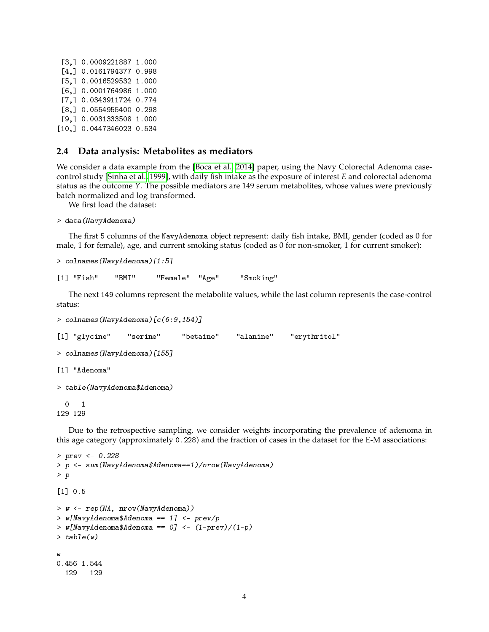```
[3,] 0.0009221887 1.000
[4,] 0.0161794377 0.998
[5,] 0.0016529532 1.000
[6,] 0.0001764986 1.000
[7,] 0.0343911724 0.774
[8,] 0.0554955400 0.298
[9,] 0.0031333508 1.000
[10,] 0.0447346023 0.534
```
### **2.4 Data analysis: Metabolites as mediators**

We consider a data example from the [\[Boca et al., 2014\]](#page-4-0) paper, using the Navy Colorectal Adenoma casecontrol study [\[Sinha et al., 1999\]](#page-4-1), with daily fish intake as the exposure of interest *E* and colorectal adenoma status as the outcome *Y*. The possible mediators are 149 serum metabolites, whose values were previously batch normalized and log transformed.

We first load the dataset:

```
> data(NavyAdenoma)
```
The first 5 columns of the NavyAdenoma object represent: daily fish intake, BMI, gender (coded as 0 for male, 1 for female), age, and current smoking status (coded as 0 for non-smoker, 1 for current smoker):

```
> colnames(NavyAdenoma) [1:5]
```
[1] "Fish" "BMI" "Female" "Age" "Smoking"

The next 149 columns represent the metabolite values, while the last column represents the case-control status:

```
> colnames(NavyAdenoma)[c(6:9,154)]
[1] "glycine" "serine" "betaine" "alanine" "erythritol"
> colnames(NavyAdenoma)[155]
[1] "Adenoma"
> table(NavyAdenoma$Adenoma)
 0 1
129 129
```
Due to the retrospective sampling, we consider weights incorporating the prevalence of adenoma in this age category (approximately 0.228) and the fraction of cases in the dataset for the E-M associations:

```
> prev <- 0.228
> p <- sum(NavyAdenoma$Adenoma==1)/nrow(NavyAdenoma)
> p
[1] 0.5
> w <- rep(NA, nrow(NavyAdenoma))
> w[NavyAdenoma$Adenoma == 1] <- prev/p
> w[NavyAdenoma$Adenoma == 0] <- (1-prev)/(1-p)> table(w)
w
0.456 1.544
 129 129
```